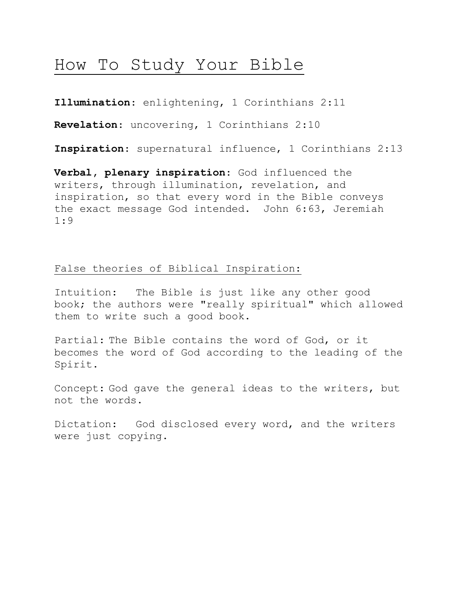# How To Study Your Bible

**Illumination**: enlightening, 1 Corinthians 2:11

**Revelation**: uncovering, 1 Corinthians 2:10

**Inspiration**: supernatural influence, 1 Corinthians 2:13

**Verbal, plenary inspiration**: God influenced the writers, through illumination, revelation, and inspiration, so that every word in the Bible conveys the exact message God intended. John 6:63, Jeremiah 1:9

## False theories of Biblical Inspiration:

Intuition: The Bible is just like any other good book; the authors were "really spiritual" which allowed them to write such a good book.

Partial: The Bible contains the word of God, or it becomes the word of God according to the leading of the Spirit.

Concept: God gave the general ideas to the writers, but not the words.

Dictation: God disclosed every word, and the writers were just copying.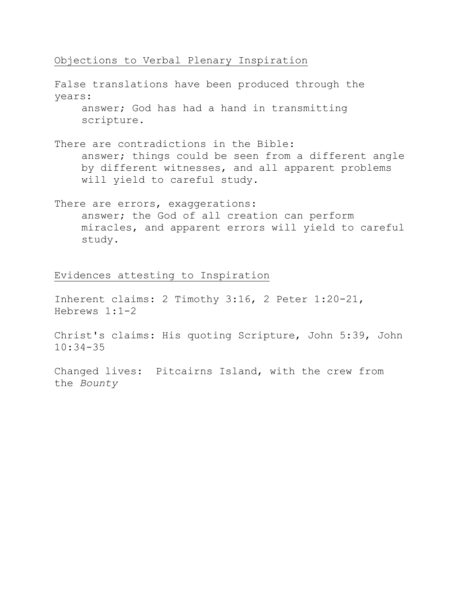## Objections to Verbal Plenary Inspiration

False translations have been produced through the years: answer; God has had a hand in transmitting scripture. There are contradictions in the Bible: answer; things could be seen from a different angle by different witnesses, and all apparent problems will yield to careful study.

There are errors, exaggerations: answer; the God of all creation can perform miracles, and apparent errors will yield to careful study.

# Evidences attesting to Inspiration

Inherent claims: 2 Timothy 3:16, 2 Peter 1:20-21, Hebrews 1:1-2

Christ's claims: His quoting Scripture, John 5:39, John 10:34-35

Changed lives: Pitcairns Island, with the crew from the *Bounty*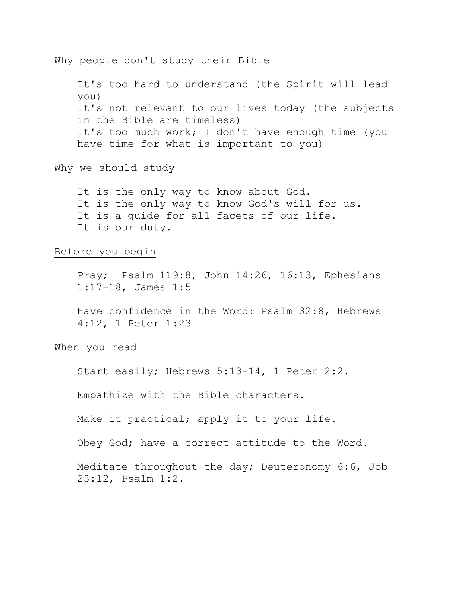#### Why people don't study their Bible

It's too hard to understand (the Spirit will lead you) It's not relevant to our lives today (the subjects in the Bible are timeless) It's too much work; I don't have enough time (you have time for what is important to you)

#### Why we should study

It is the only way to know about God. It is the only way to know God's will for us. It is a quide for all facets of our life. It is our duty.

# Before you begin

Pray; Psalm 119:8, John 14:26, 16:13, Ephesians 1:17-18, James 1:5

Have confidence in the Word: Psalm 32:8, Hebrews 4:12, 1 Peter 1:23

#### When you read

Start easily; Hebrews 5:13-14, 1 Peter 2:2.

Empathize with the Bible characters.

Make it practical; apply it to your life.

Obey God; have a correct attitude to the Word.

Meditate throughout the day; Deuteronomy 6:6, Job 23:12, Psalm 1:2.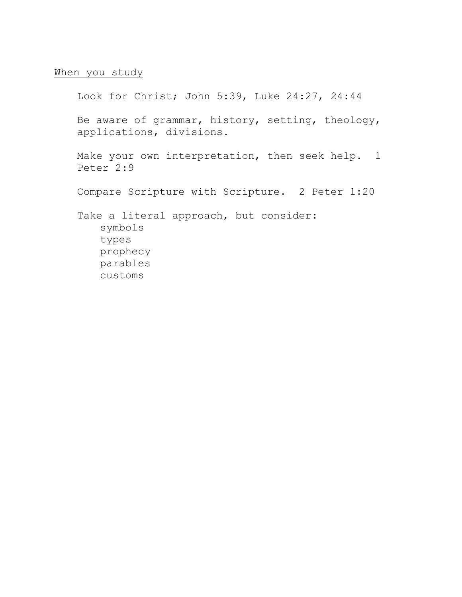# When you study

Look for Christ; John 5:39, Luke 24:27, 24:44 Be aware of grammar, history, setting, theology, applications, divisions. Make your own interpretation, then seek help. 1 Peter 2:9 Compare Scripture with Scripture. 2 Peter 1:20 Take a literal approach, but consider: symbols types prophecy parables customs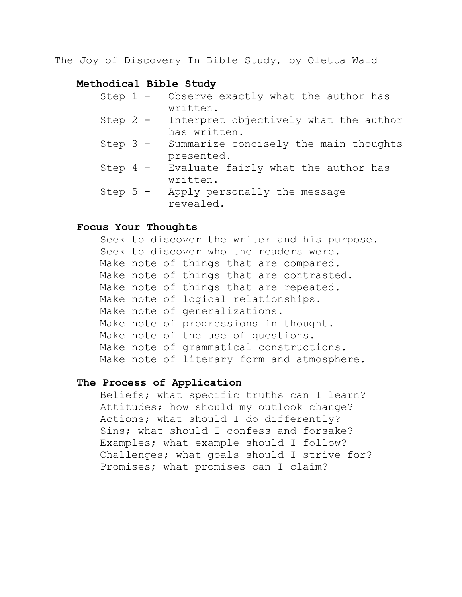#### **Methodical Bible Study**

- Step 1 Observe exactly what the author has written.
- Step 2 Interpret objectively what the author has written.
- Step 3 Summarize concisely the main thoughts presented.
- Step 4 Evaluate fairly what the author has written.
- Step 5 Apply personally the message revealed.

#### **Focus Your Thoughts**

Seek to discover the writer and his purpose. Seek to discover who the readers were. Make note of things that are compared. Make note of things that are contrasted. Make note of things that are repeated. Make note of logical relationships. Make note of generalizations. Make note of progressions in thought. Make note of the use of questions. Make note of grammatical constructions. Make note of literary form and atmosphere.

#### **The Process of Application**

Beliefs; what specific truths can I learn? Attitudes; how should my outlook change? Actions; what should I do differently? Sins; what should I confess and forsake? Examples; what example should I follow? Challenges; what goals should I strive for? Promises; what promises can I claim?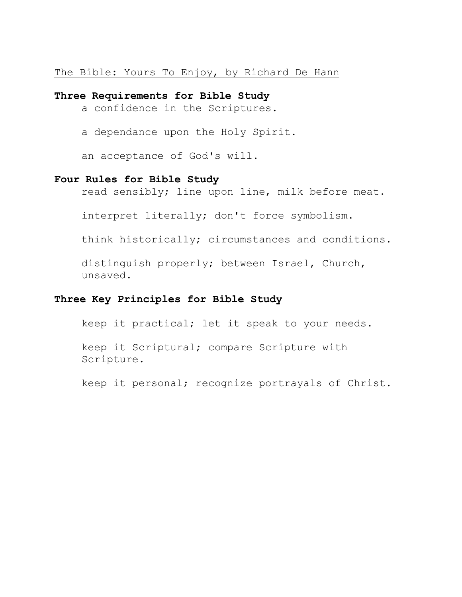The Bible: Yours To Enjoy, by Richard De Hann

#### **Three Requirements for Bible Study**

a confidence in the Scriptures.

a dependance upon the Holy Spirit.

an acceptance of God's will.

# **Four Rules for Bible Study**

read sensibly; line upon line, milk before meat.

interpret literally; don't force symbolism.

think historically; circumstances and conditions.

distinguish properly; between Israel, Church, unsaved.

# **Three Key Principles for Bible Study**

keep it practical; let it speak to your needs.

keep it Scriptural; compare Scripture with Scripture.

keep it personal; recognize portrayals of Christ.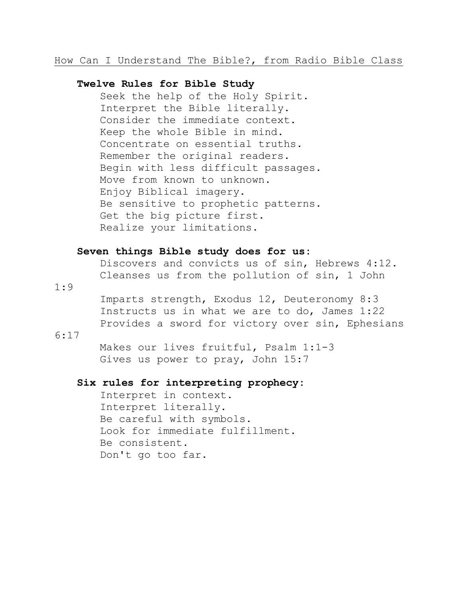# How Can I Understand The Bible?, from Radio Bible Class

#### **Twelve Rules for Bible Study**

Seek the help of the Holy Spirit. Interpret the Bible literally. Consider the immediate context. Keep the whole Bible in mind. Concentrate on essential truths. Remember the original readers. Begin with less difficult passages. Move from known to unknown. Enjoy Biblical imagery. Be sensitive to prophetic patterns. Get the big picture first. Realize your limitations.

#### **Seven things Bible study does for us:**

Discovers and convicts us of sin, Hebrews 4:12. Cleanses us from the pollution of sin, 1 John

1:9

Imparts strength, Exodus 12, Deuteronomy 8:3 Instructs us in what we are to do, James 1:22 Provides a sword for victory over sin, Ephesians

#### 6:17

Makes our lives fruitful, Psalm 1:1-3 Gives us power to pray, John 15:7

### **Six rules for interpreting prophecy:**

Interpret in context. Interpret literally. Be careful with symbols. Look for immediate fulfillment. Be consistent. Don't go too far.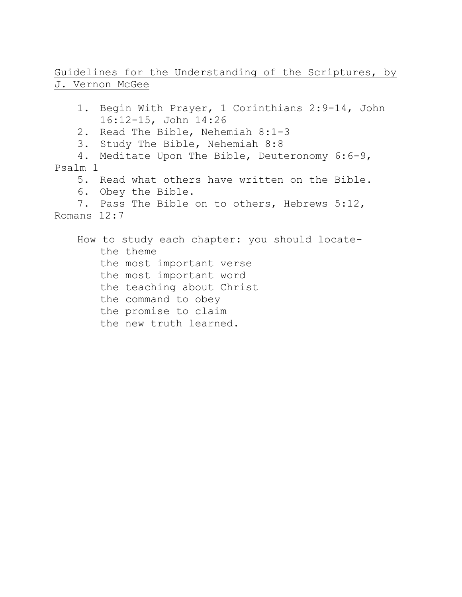# Guidelines for the Understanding of the Scriptures, by J. Vernon McGee

- 1. Begin With Prayer, 1 Corinthians 2:9-14, John 16:12-15, John 14:26
- 2. Read The Bible, Nehemiah 8:1-3
- 3. Study The Bible, Nehemiah 8:8
- 4. Meditate Upon The Bible, Deuteronomy 6:6-9, Psalm 1
	- 5. Read what others have written on the Bible.
	- 6. Obey the Bible.
- 7. Pass The Bible on to others, Hebrews 5:12, Romans 12:7

How to study each chapter: you should locatethe theme the most important verse the most important word the teaching about Christ the command to obey the promise to claim the new truth learned.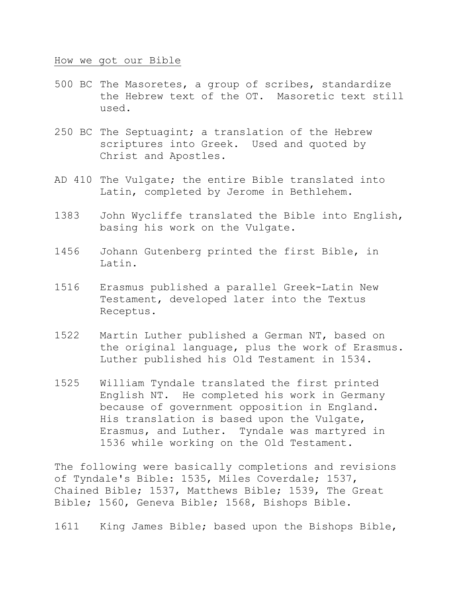#### How we got our Bible

- 500 BC The Masoretes, a group of scribes, standardize the Hebrew text of the OT. Masoretic text still used.
- 250 BC The Septuagint; a translation of the Hebrew scriptures into Greek. Used and quoted by Christ and Apostles.
- AD 410 The Vulgate; the entire Bible translated into Latin, completed by Jerome in Bethlehem.
- 1383 John Wycliffe translated the Bible into English, basing his work on the Vulgate.
- 1456 Johann Gutenberg printed the first Bible, in Latin.
- 1516 Erasmus published a parallel Greek-Latin New Testament, developed later into the Textus Receptus.
- 1522 Martin Luther published a German NT, based on the original language, plus the work of Erasmus. Luther published his Old Testament in 1534.
- 1525 William Tyndale translated the first printed English NT. He completed his work in Germany because of government opposition in England. His translation is based upon the Vulgate, Erasmus, and Luther. Tyndale was martyred in 1536 while working on the Old Testament.

The following were basically completions and revisions of Tyndale's Bible: 1535, Miles Coverdale; 1537, Chained Bible; 1537, Matthews Bible; 1539, The Great Bible; 1560, Geneva Bible; 1568, Bishops Bible.

1611 King James Bible; based upon the Bishops Bible,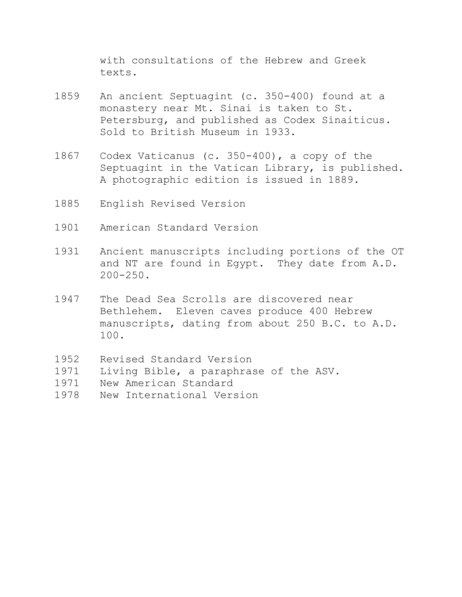with consultations of the Hebrew and Greek texts.

- 1859 An ancient Septuagint (c. 350-400) found at a monastery near Mt. Sinai is taken to St. Petersburg, and published as Codex Sinaiticus. Sold to British Museum in 1933.
- 1867 Codex Vaticanus (c. 350-400), a copy of the Septuagint in the Vatican Library, is published. A photographic edition is issued in 1889.
- 1885 English Revised Version
- 1901 American Standard Version
- 1931 Ancient manuscripts including portions of the OT and NT are found in Egypt. They date from A.D.  $200 - 250$ .
- 1947 The Dead Sea Scrolls are discovered near Bethlehem. Eleven caves produce 400 Hebrew manuscripts, dating from about 250 B.C. to A.D. 100.
- 1952 Revised Standard Version
- 1971 Living Bible, a paraphrase of the ASV.
- 1971 New American Standard
- 1978 New International Version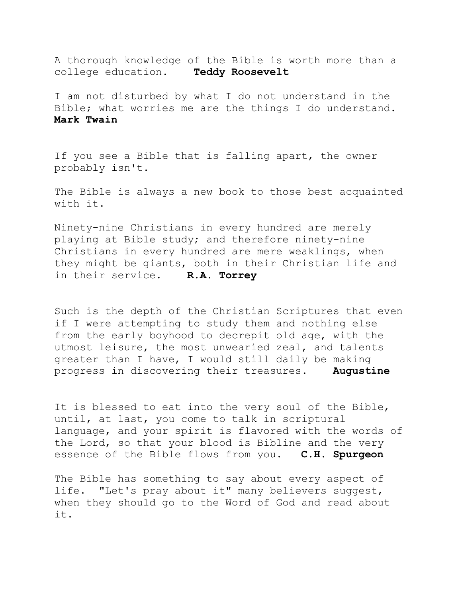A thorough knowledge of the Bible is worth more than a college education. **Teddy Roosevelt**

I am not disturbed by what I do not understand in the Bible; what worries me are the things I do understand. **Mark Twain**

If you see a Bible that is falling apart, the owner probably isn't.

The Bible is always a new book to those best acquainted with it.

Ninety-nine Christians in every hundred are merely playing at Bible study; and therefore ninety-nine Christians in every hundred are mere weaklings, when they might be giants, both in their Christian life and in their service. **R.A. Torrey**

Such is the depth of the Christian Scriptures that even if I were attempting to study them and nothing else from the early boyhood to decrepit old age, with the utmost leisure, the most unwearied zeal, and talents greater than I have, I would still daily be making progress in discovering their treasures. **Augustine**

It is blessed to eat into the very soul of the Bible, until, at last, you come to talk in scriptural language, and your spirit is flavored with the words of the Lord, so that your blood is Bibline and the very essence of the Bible flows from you. **C.H. Spurgeon**

The Bible has something to say about every aspect of life. "Let's pray about it" many believers suggest, when they should go to the Word of God and read about it.